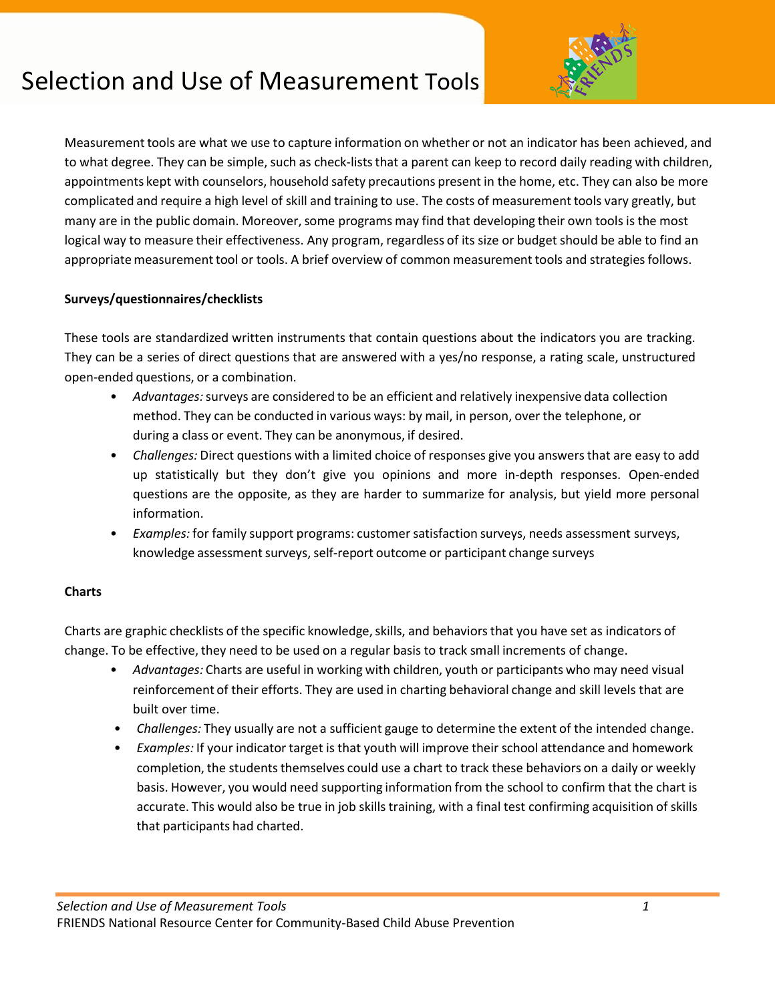# Selection and Use of Measurement Tools



Measurementtools are what we use to capture information on whether or not an indicator has been achieved, and to what degree. They can be simple, such as check-lists that a parent can keep to record daily reading with children, appointments kept with counselors, household safety precautions present in the home, etc. They can also be more complicated and require a high level of skill and training to use. The costs of measurement tools vary greatly, but many are in the public domain. Moreover, some programs may find that developing their own tools is the most logical way to measure their effectiveness. Any program, regardless of its size or budget should be able to find an appropriate measurement tool or tools. A brief overview of common measurement tools and strategies follows.

## **Surveys/questionnaires/checklists**

These tools are standardized written instruments that contain questions about the indicators you are tracking. They can be a series of direct questions that are answered with a yes/no response, a rating scale, unstructured open-ended questions, or a combination.

- *Advantages:*surveys are considered to be an efficient and relatively inexpensive data collection method. They can be conducted in various ways: by mail, in person, over the telephone, or during a class or event. They can be anonymous, if desired.
- *Challenges:* Direct questions with a limited choice of responses give you answers that are easy to add up statistically but they don't give you opinions and more in-depth responses. Open-ended questions are the opposite, as they are harder to summarize for analysis, but yield more personal information.
- *Examples:* for family support programs: customersatisfaction surveys, needs assessment surveys, knowledge assessment surveys, self-report outcome or participant change surveys

### **Charts**

Charts are graphic checklists of the specific knowledge, skills, and behaviors that you have set as indicators of change. To be effective, they need to be used on a regular basis to track small increments of change.

- *Advantages:* Charts are useful in working with children, youth or participants who may need visual reinforcement of their efforts. They are used in charting behavioral change and skill levels that are built over time.
- *Challenges:* They usually are not a sufficient gauge to determine the extent of the intended change.
- *Examples:* If your indicator target is that youth will improve their school attendance and homework completion, the students themselves could use a chart to track these behaviors on a daily or weekly basis. However, you would need supporting information from the school to confirm that the chart is accurate. This would also be true in job skills training, with a final test confirming acquisition of skills that participants had charted.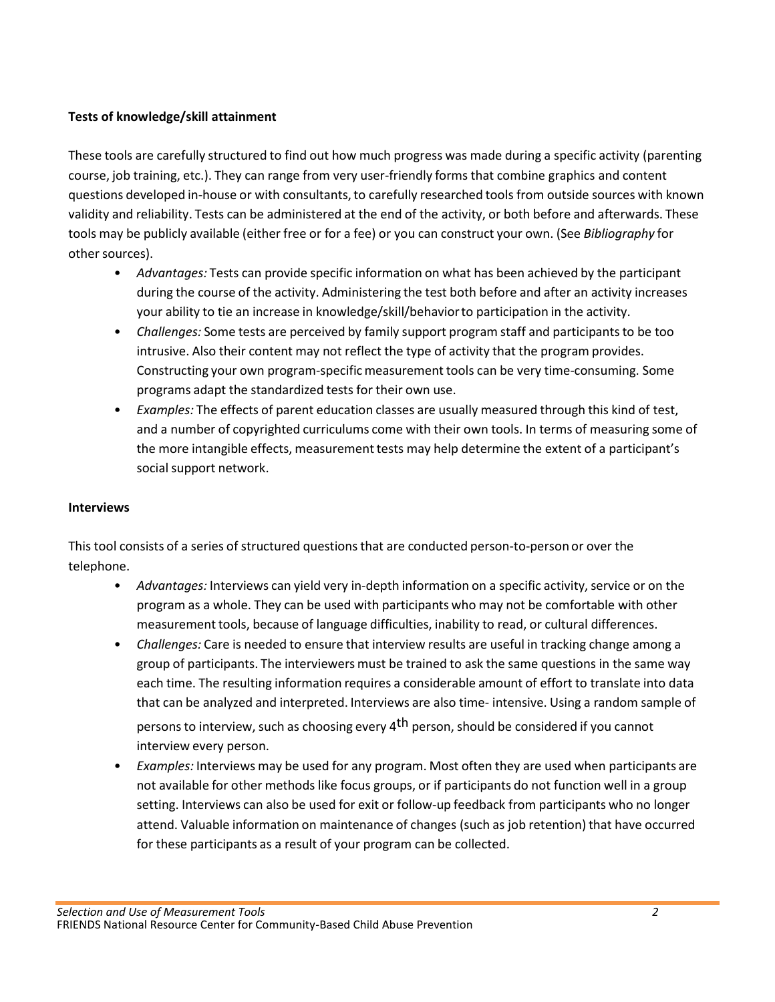## **Tests of knowledge/skill attainment**

These tools are carefully structured to find out how much progress was made during a specific activity (parenting course, job training, etc.). They can range from very user-friendly forms that combine graphics and content questions developed in-house or with consultants, to carefully researched tools from outside sources with known validity and reliability. Tests can be administered at the end of the activity, or both before and afterwards. These tools may be publicly available (either free or for a fee) or you can construct your own. (See *Bibliography* for other sources).

- *Advantages:* Tests can provide specific information on what has been achieved by the participant during the course of the activity. Administering the test both before and after an activity increases your ability to tie an increase in knowledge/skill/behaviorto participation in the activity.
- *Challenges:* Some tests are perceived by family support program staff and participants to be too intrusive. Also their content may not reflect the type of activity that the program provides. Constructing your own program-specificmeasurement tools can be very time-consuming. Some programs adapt the standardized tests for their own use.
- *Examples:* The effects of parent education classes are usually measured through this kind of test, and a number of copyrighted curriculums come with their own tools. In terms of measuring some of the more intangible effects, measurement tests may help determine the extent of a participant's social support network.

## **Interviews**

This tool consists of a series of structured questions that are conducted person-to-person or over the telephone.

- *Advantages:* Interviews can yield very in-depth information on a specific activity, service or on the program as a whole. They can be used with participants who may not be comfortable with other measurement tools, because of language difficulties, inability to read, or cultural differences.
- *Challenges:* Care is needed to ensure that interview results are useful in tracking change among a group of participants. The interviewers must be trained to ask the same questions in the same way each time. The resulting information requires a considerable amount of effort to translate into data that can be analyzed and interpreted. Interviews are also time- intensive. Using a random sample of persons to interview, such as choosing every 4<sup>th</sup> person, should be considered if you cannot interview every person.
- *Examples:* Interviews may be used for any program. Most often they are used when participants are not available for other methods like focus groups, or if participants do not function well in a group setting. Interviews can also be used for exit or follow-up feedback from participants who no longer attend. Valuable information on maintenance of changes (such as job retention) that have occurred for these participants as a result of your program can be collected.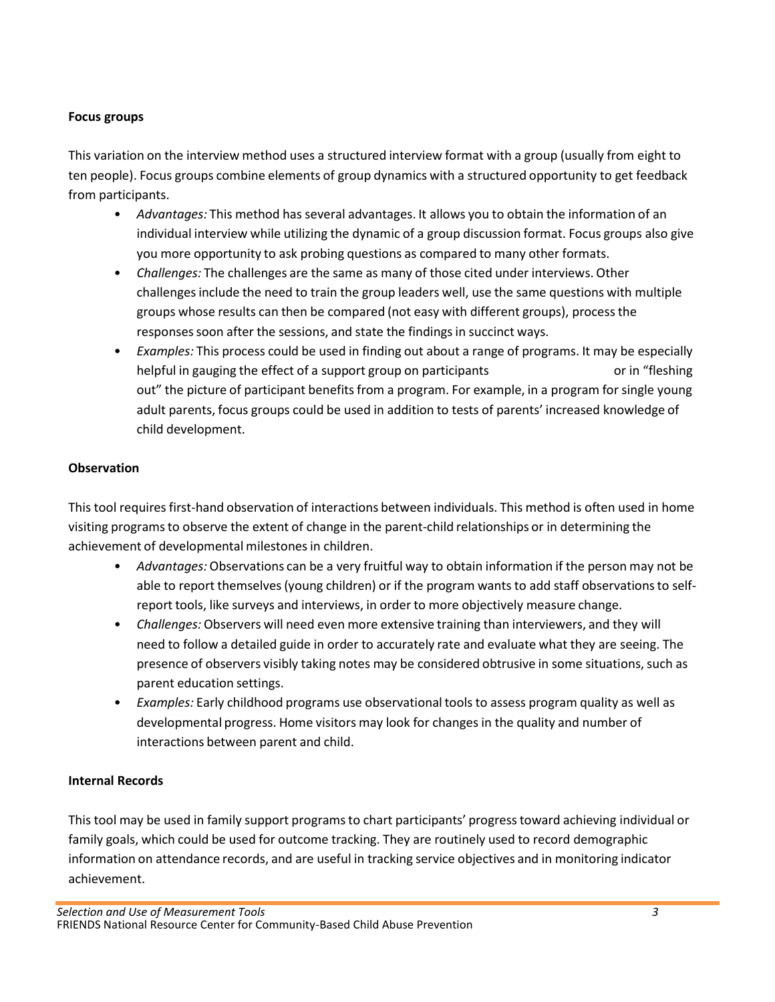## **Focus groups**

This variation on the interview method uses a structured interview format with a group (usually from eight to ten people). Focus groups combine elements of group dynamics with a structured opportunity to get feedback from participants.

- *Advantages:* This method has several advantages. It allows you to obtain the information of an individual interview while utilizing the dynamic of a group discussion format. Focus groups also give you more opportunity to ask probing questions as compared to many other formats.
- *Challenges:* The challenges are the same as many of those cited under interviews. Other challengesinclude the need to train the group leaders well, use the same questions with multiple groups whose results can then be compared (not easy with different groups), processthe responses soon after the sessions, and state the findings in succinct ways.
- *Examples:* This process could be used in finding out about a range of programs. It may be especially helpful in gauging the effect of a support group on participants or the state or in "fleshing" out" the picture of participant benefits from a program. For example, in a program for single young adult parents, focus groups could be used in addition to tests of parents' increased knowledge of child development.

## **Observation**

This tool requires first-hand observation of interactions between individuals. This method is often used in home visiting programsto observe the extent of change in the parent-child relationships or in determining the achievement of developmental milestonesin children.

- *Advantages:* Observations can be a very fruitful way to obtain information if the person may not be able to report themselves (young children) or if the program wants to add staff observations to selfreport tools, like surveys and interviews, in order to more objectively measure change.
- *Challenges:* Observers will need even more extensive training than interviewers, and they will need to follow a detailed guide in order to accurately rate and evaluate what they are seeing. The presence of observers visibly taking notes may be considered obtrusive in some situations, such as parent education settings.
- *Examples:* Early childhood programs use observational tools to assess program quality as well as developmental progress. Home visitors may look for changes in the quality and number of interactions between parent and child.

### **Internal Records**

This tool may be used in family support programsto chart participants' progresstoward achieving individual or family goals, which could be used for outcome tracking. They are routinely used to record demographic information on attendance records, and are useful in tracking service objectives and in monitoring indicator achievement.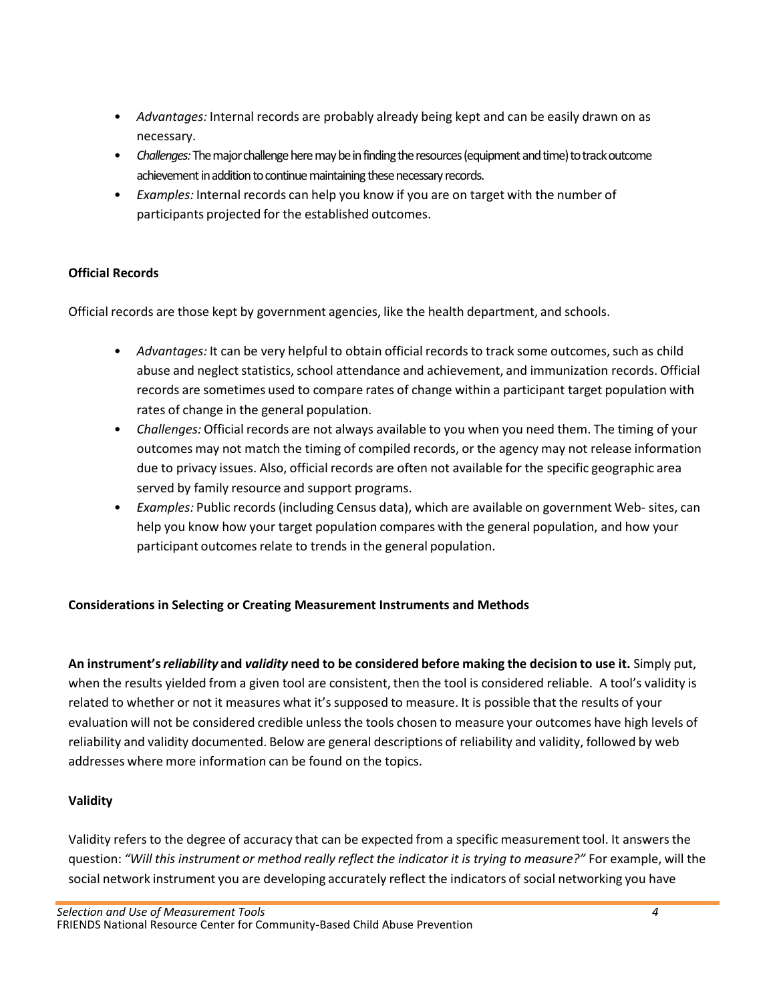- *Advantages:* Internal records are probably already being kept and can be easily drawn on as necessary.
- *Challenges:* The major challenge here may be in finding the resources (equipment and time) to track outcome achievement in addition to continue maintaining these necessary records.
- *Examples:* Internal records can help you know if you are on target with the number of participants projected for the established outcomes.

# **Official Records**

Official records are those kept by government agencies, like the health department, and schools.

- *Advantages:* It can be very helpful to obtain official records to track some outcomes, such as child abuse and neglect statistics, school attendance and achievement, and immunization records. Official records are sometimes used to compare rates of change within a participant target population with rates of change in the general population.
- *Challenges:* Official records are not always available to you when you need them. The timing of your outcomes may not match the timing of compiled records, or the agency may not release information due to privacy issues. Also, official records are often not available for the specific geographic area served by family resource and support programs.
- *Examples:* Public records (including Census data), which are available on government Web- sites, can help you know how your target population compares with the general population, and how your participant outcomes relate to trends in the general population.

# **Considerations in Selecting or Creating Measurement Instruments and Methods**

**An instrument's***reliability* **and** *validity* **need to be considered before making the decision to use it.** Simply put, when the results yielded from a given tool are consistent, then the tool is considered reliable. A tool's validity is related to whether or not it measures what it's supposed to measure. It is possible that the results of your evaluation will not be considered credible unless the tools chosen to measure your outcomes have high levels of reliability and validity documented. Below are general descriptions of reliability and validity, followed by web addresses where more information can be found on the topics.

# **Validity**

Validity refers to the degree of accuracy that can be expected from a specific measurement tool. It answers the question: *"Will this instrument or method really reflect the indicator it is trying to measure?"* For example, will the social network instrument you are developing accurately reflect the indicators of social networking you have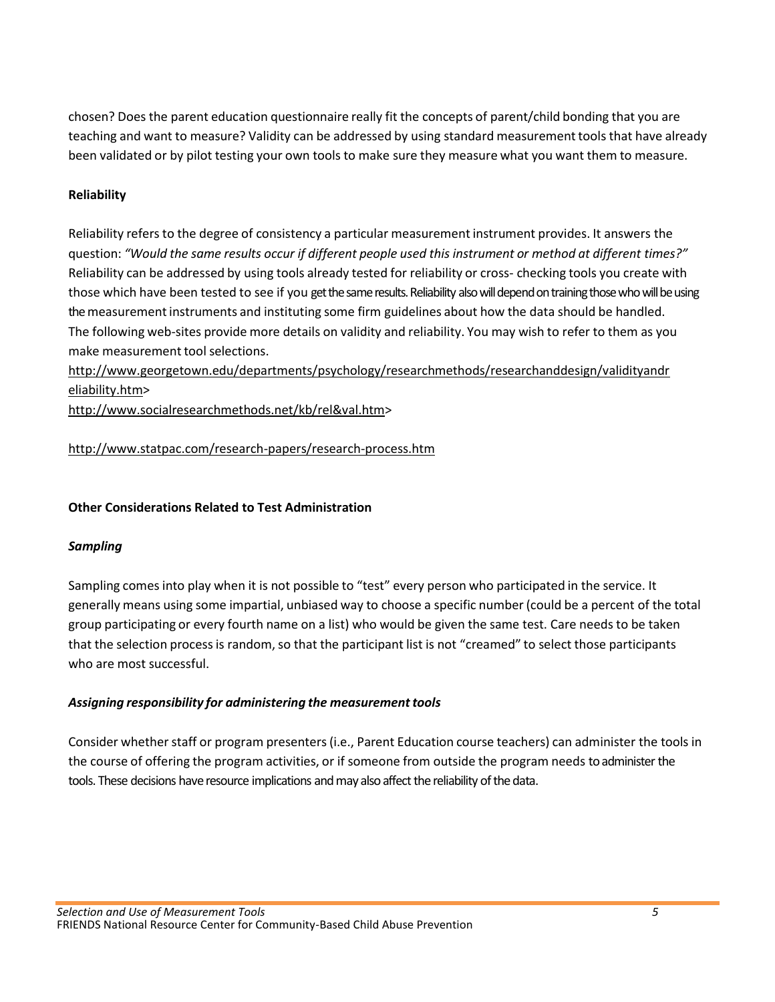chosen? Does the parent education questionnaire really fit the concepts of parent/child bonding that you are teaching and want to measure? Validity can be addressed by using standard measurementtools that have already been validated or by pilot testing your own tools to make sure they measure what you want them to measure.

## **Reliability**

Reliability refers to the degree of consistency a particular measurement instrument provides. It answers the question: *"Would the same results occur if different people used this instrument or method at different times?"* Reliability can be addressed by using tools already tested for reliability or cross- checking tools you create with those which have been tested to see if you get the same results. Reliability also will depend on training those who will be using the measurement instruments and instituting some firm guidelines about how the data should be handled. The following web-sites provide more details on validity and reliability. You may wish to refer to them as you make measurement tool selections.

<http://www.georgetown.edu/departments/psychology/researchmethods/researchanddesign/validityandr> eliability.htm>

[http://www.socialresearchmethods.net/kb/rel&val.htm>](http://www.socialresearchmethods.net/kb/rel%26val.htm)

<http://www.statpac.com/research-papers/research-process.htm>

## **Other Considerations Related to Test Administration**

### *Sampling*

Sampling comes into play when it is not possible to "test" every person who participated in the service. It generally means using some impartial, unbiased way to choose a specific number (could be a percent of the total group participating or every fourth name on a list) who would be given the same test. Care needs to be taken that the selection process is random, so that the participant list is not "creamed" to select those participants who are most successful.

### *Assigning responsibility for administering the measurementtools*

Consider whether staff or program presenters (i.e., Parent Education course teachers) can administer the tools in the course of offering the program activities, or if someone from outside the program needs to administer the tools. These decisions have resource implications and may also affect the reliability of the data.